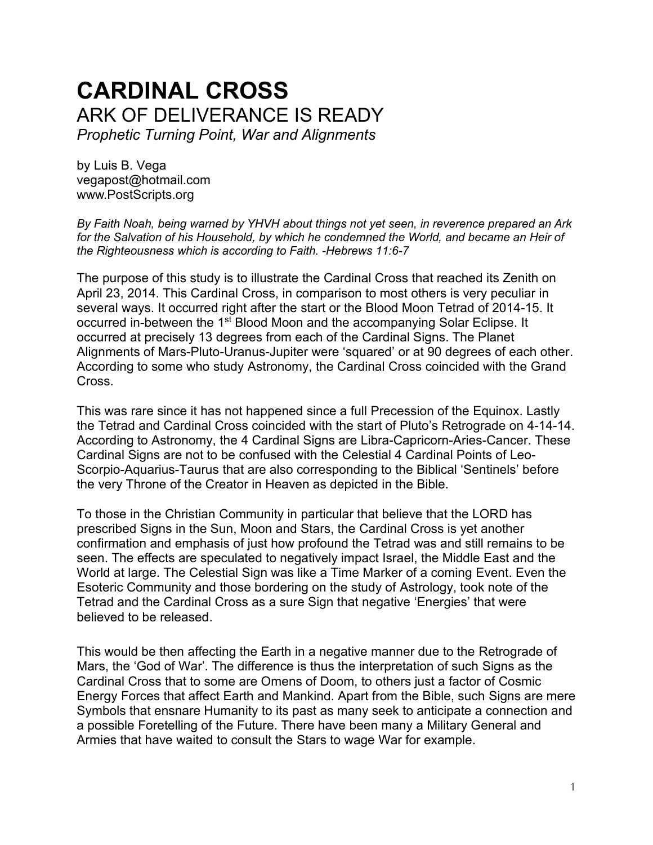# **CARDINAL CROSS** ARK OF DELIVERANCE IS READY *Prophetic Turning Point, War and Alignments*

by Luis B. Vega [vegapost@hotmail.com](mailto:vegapost@hotmail.com) [www.PostScripts.org](http://www.postscripts.org/)

*By Faith Noah, being warned by YHVH about things not yet seen, in reverence prepared an Ark*  for the Salvation of his Household, by which he condemned the World, and became an Heir of *the Righteousness which is according to Faith. -Hebrews 11:6-7*

The purpose of this study is to illustrate the Cardinal Cross that reached its Zenith on April 23, 2014. This Cardinal Cross, in comparison to most others is very peculiar in several ways. It occurred right after the start or the Blood Moon Tetrad of 2014-15. It occurred in-between the 1<sup>st</sup> Blood Moon and the accompanying Solar Eclipse. It occurred at precisely 13 degrees from each of the Cardinal Signs. The Planet Alignments of Mars-Pluto-Uranus-Jupiter were 'squared' or at 90 degrees of each other. According to some who study Astronomy, the Cardinal Cross coincided with the Grand Cross.

This was rare since it has not happened since a full Precession of the Equinox. Lastly the Tetrad and Cardinal Cross coincided with the start of Pluto's Retrograde on 4-14-14. According to Astronomy, the 4 Cardinal Signs are Libra-Capricorn-Aries-Cancer. These Cardinal Signs are not to be confused with the Celestial 4 Cardinal Points of Leo-Scorpio-Aquarius-Taurus that are also corresponding to the Biblical 'Sentinels' before the very Throne of the Creator in Heaven as depicted in the Bible.

To those in the Christian Community in particular that believe that the LORD has prescribed Signs in the Sun, Moon and Stars, the Cardinal Cross is yet another confirmation and emphasis of just how profound the Tetrad was and still remains to be seen. The effects are speculated to negatively impact Israel, the Middle East and the World at large. The Celestial Sign was like a Time Marker of a coming Event. Even the Esoteric Community and those bordering on the study of Astrology, took note of the Tetrad and the Cardinal Cross as a sure Sign that negative 'Energies' that were believed to be released.

This would be then affecting the Earth in a negative manner due to the Retrograde of Mars, the 'God of War'. The difference is thus the interpretation of such Signs as the Cardinal Cross that to some are Omens of Doom, to others just a factor of Cosmic Energy Forces that affect Earth and Mankind. Apart from the Bible, such Signs are mere Symbols that ensnare Humanity to its past as many seek to anticipate a connection and a possible Foretelling of the Future. There have been many a Military General and Armies that have waited to consult the Stars to wage War for example.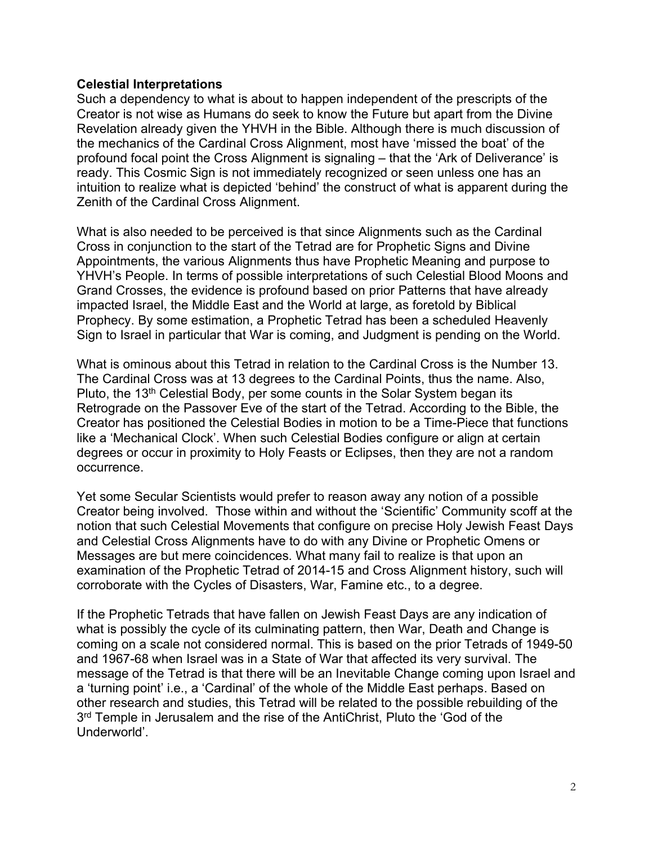#### **Celestial Interpretations**

Such a dependency to what is about to happen independent of the prescripts of the Creator is not wise as Humans do seek to know the Future but apart from the Divine Revelation already given the YHVH in the Bible. Although there is much discussion of the mechanics of the Cardinal Cross Alignment, most have 'missed the boat' of the profound focal point the Cross Alignment is signaling – that the 'Ark of Deliverance' is ready. This Cosmic Sign is not immediately recognized or seen unless one has an intuition to realize what is depicted 'behind' the construct of what is apparent during the Zenith of the Cardinal Cross Alignment.

What is also needed to be perceived is that since Alignments such as the Cardinal Cross in conjunction to the start of the Tetrad are for Prophetic Signs and Divine Appointments, the various Alignments thus have Prophetic Meaning and purpose to YHVH's People. In terms of possible interpretations of such Celestial Blood Moons and Grand Crosses, the evidence is profound based on prior Patterns that have already impacted Israel, the Middle East and the World at large, as foretold by Biblical Prophecy. By some estimation, a Prophetic Tetrad has been a scheduled Heavenly Sign to Israel in particular that War is coming, and Judgment is pending on the World.

What is ominous about this Tetrad in relation to the Cardinal Cross is the Number 13. The Cardinal Cross was at 13 degrees to the Cardinal Points, thus the name. Also, Pluto, the 13<sup>th</sup> Celestial Body, per some counts in the Solar System began its Retrograde on the Passover Eve of the start of the Tetrad. According to the Bible, the Creator has positioned the Celestial Bodies in motion to be a Time-Piece that functions like a 'Mechanical Clock'. When such Celestial Bodies configure or align at certain degrees or occur in proximity to Holy Feasts or Eclipses, then they are not a random occurrence.

Yet some Secular Scientists would prefer to reason away any notion of a possible Creator being involved. Those within and without the 'Scientific' Community scoff at the notion that such Celestial Movements that configure on precise Holy Jewish Feast Days and Celestial Cross Alignments have to do with any Divine or Prophetic Omens or Messages are but mere coincidences. What many fail to realize is that upon an examination of the Prophetic Tetrad of 2014-15 and Cross Alignment history, such will corroborate with the Cycles of Disasters, War, Famine etc., to a degree.

If the Prophetic Tetrads that have fallen on Jewish Feast Days are any indication of what is possibly the cycle of its culminating pattern, then War, Death and Change is coming on a scale not considered normal. This is based on the prior Tetrads of 1949-50 and 1967-68 when Israel was in a State of War that affected its very survival. The message of the Tetrad is that there will be an Inevitable Change coming upon Israel and a 'turning point' i.e., a 'Cardinal' of the whole of the Middle East perhaps. Based on other research and studies, this Tetrad will be related to the possible rebuilding of the 3<sup>rd</sup> Temple in Jerusalem and the rise of the AntiChrist, Pluto the 'God of the Underworld'.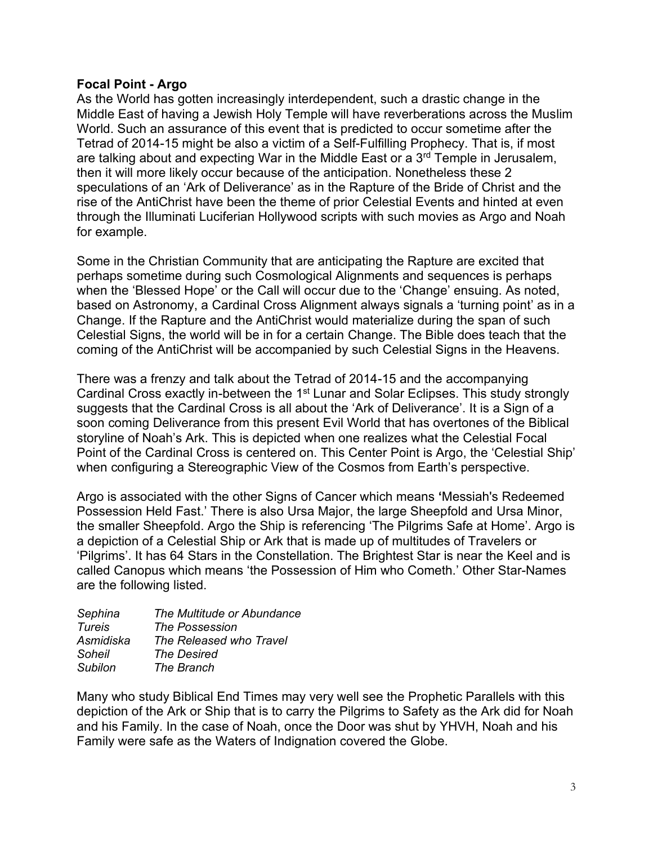#### **Focal Point - Argo**

As the World has gotten increasingly interdependent, such a drastic change in the Middle East of having a Jewish Holy Temple will have reverberations across the Muslim World. Such an assurance of this event that is predicted to occur sometime after the Tetrad of 2014-15 might be also a victim of a Self-Fulfilling Prophecy. That is, if most are talking about and expecting War in the Middle East or a 3<sup>rd</sup> Temple in Jerusalem, then it will more likely occur because of the anticipation. Nonetheless these 2 speculations of an 'Ark of Deliverance' as in the Rapture of the Bride of Christ and the rise of the AntiChrist have been the theme of prior Celestial Events and hinted at even through the Illuminati Luciferian Hollywood scripts with such movies as Argo and Noah for example.

Some in the Christian Community that are anticipating the Rapture are excited that perhaps sometime during such Cosmological Alignments and sequences is perhaps when the 'Blessed Hope' or the Call will occur due to the 'Change' ensuing. As noted, based on Astronomy, a Cardinal Cross Alignment always signals a 'turning point' as in a Change. If the Rapture and the AntiChrist would materialize during the span of such Celestial Signs, the world will be in for a certain Change. The Bible does teach that the coming of the AntiChrist will be accompanied by such Celestial Signs in the Heavens.

There was a frenzy and talk about the Tetrad of 2014-15 and the accompanying Cardinal Cross exactly in-between the 1<sup>st</sup> Lunar and Solar Eclipses. This study strongly suggests that the Cardinal Cross is all about the 'Ark of Deliverance'. It is a Sign of a soon coming Deliverance from this present Evil World that has overtones of the Biblical storyline of Noah's Ark. This is depicted when one realizes what the Celestial Focal Point of the Cardinal Cross is centered on. This Center Point is Argo, the 'Celestial Ship' when configuring a Stereographic View of the Cosmos from Earth's perspective.

Argo is associated with the other Signs of Cancer which means **'**Messiah's Redeemed Possession Held Fast.' There is also Ursa Major, the large Sheepfold and Ursa Minor, the smaller Sheepfold. Argo the Ship is referencing 'The Pilgrims Safe at Home'. Argo is a depiction of a Celestial Ship or Ark that is made up of multitudes of Travelers or 'Pilgrims'. It has 64 Stars in the Constellation. The Brightest Star is near the Keel and is called Canopus which means 'the Possession of Him who Cometh.' Other Star-Names are the following listed.

| Sephina       | The Multitude or Abundance |
|---------------|----------------------------|
| <b>Tureis</b> | <b>The Possession</b>      |
| Asmidiska     | The Released who Travel    |
| Soheil        | <b>The Desired</b>         |
| Subilon       | The Branch                 |
|               |                            |

Many who study Biblical End Times may very well see the Prophetic Parallels with this depiction of the Ark or Ship that is to carry the Pilgrims to Safety as the Ark did for Noah and his Family. In the case of Noah, once the Door was shut by YHVH, Noah and his Family were safe as the Waters of Indignation covered the Globe.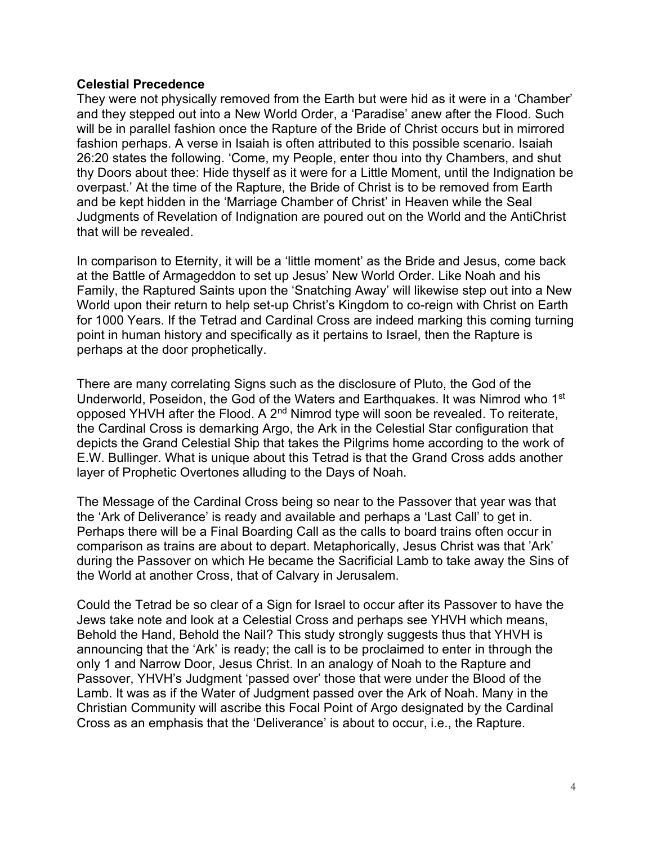#### **Celestial Precedence**

They were not physically removed from the Earth but were hid as it were in a 'Chamber' and they stepped out into a New World Order, a 'Paradise' anew after the Flood. Such will be in parallel fashion once the Rapture of the Bride of Christ occurs but in mirrored fashion perhaps. A verse in Isaiah is often attributed to this possible scenario. Isaiah 26:20 states the following. 'Come, my People, enter thou into thy Chambers, and shut thy Doors about thee: Hide thyself as it were for a Little Moment, until the Indignation be overpast.' At the time of the Rapture, the Bride of Christ is to be removed from Earth and be kept hidden in the 'Marriage Chamber of Christ' in Heaven while the Seal Judgments of Revelation of Indignation are poured out on the World and the AntiChrist that will be revealed.

In comparison to Eternity, it will be a 'little moment' as the Bride and Jesus, come back at the Battle of Armageddon to set up Jesus' New World Order. Like Noah and his Family, the Raptured Saints upon the 'Snatching Away' will likewise step out into a New World upon their return to help set-up Christ's Kingdom to co-reign with Christ on Earth for 1000 Years. If the Tetrad and Cardinal Cross are indeed marking this coming turning point in human history and specifically as it pertains to Israel, then the Rapture is perhaps at the door prophetically.

There are many correlating Signs such as the disclosure of Pluto, the God of the Underworld, Poseidon, the God of the Waters and Earthquakes. It was Nimrod who 1st opposed YHVH after the Flood. A  $2<sup>nd</sup>$  Nimrod type will soon be revealed. To reiterate, the Cardinal Cross is demarking Argo, the Ark in the Celestial Star configuration that depicts the Grand Celestial Ship that takes the Pilgrims home according to the work of E.W. Bullinger. What is unique about this Tetrad is that the Grand Cross adds another layer of Prophetic Overtones alluding to the Days of Noah.

The Message of the Cardinal Cross being so near to the Passover that year was that the 'Ark of Deliverance' is ready and available and perhaps a 'Last Call' to get in. Perhaps there will be a Final Boarding Call as the calls to board trains often occur in comparison as trains are about to depart. Metaphorically, Jesus Christ was that 'Ark' during the Passover on which He became the Sacrificial Lamb to take away the Sins of the World at another Cross, that of Calvary in Jerusalem.

Could the Tetrad be so clear of a Sign for Israel to occur after its Passover to have the Jews take note and look at a Celestial Cross and perhaps see YHVH which means, Behold the Hand, Behold the Nail? This study strongly suggests thus that YHVH is announcing that the 'Ark' is ready; the call is to be proclaimed to enter in through the only 1 and Narrow Door, Jesus Christ. In an analogy of Noah to the Rapture and Passover, YHVH's Judgment 'passed over' those that were under the Blood of the Lamb. It was as if the Water of Judgment passed over the Ark of Noah. Many in the Christian Community will ascribe this Focal Point of Argo designated by the Cardinal Cross as an emphasis that the 'Deliverance' is about to occur, i.e., the Rapture.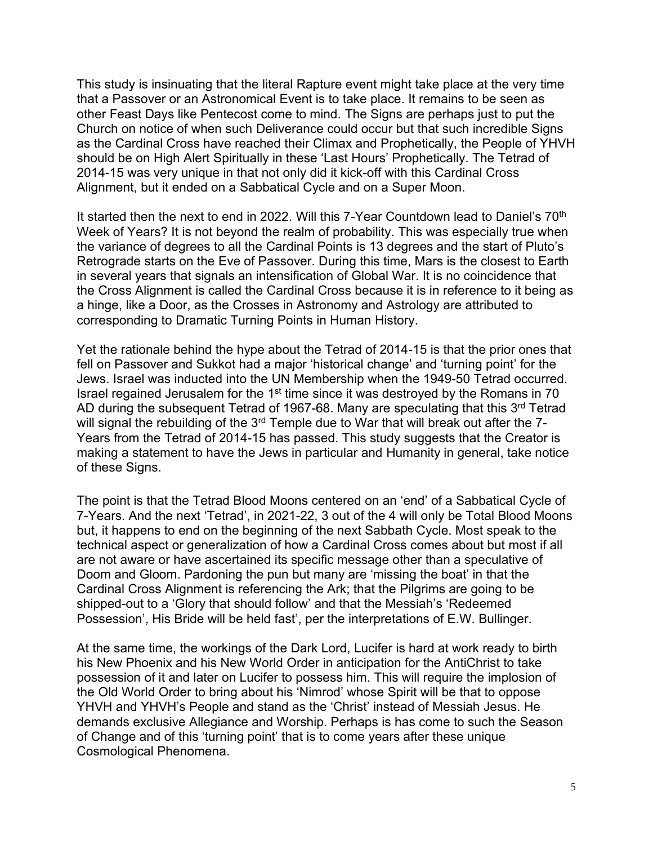This study is insinuating that the literal Rapture event might take place at the very time that a Passover or an Astronomical Event is to take place. It remains to be seen as other Feast Days like Pentecost come to mind. The Signs are perhaps just to put the Church on notice of when such Deliverance could occur but that such incredible Signs as the Cardinal Cross have reached their Climax and Prophetically, the People of YHVH should be on High Alert Spiritually in these 'Last Hours' Prophetically. The Tetrad of 2014-15 was very unique in that not only did it kick-off with this Cardinal Cross Alignment, but it ended on a Sabbatical Cycle and on a Super Moon.

It started then the next to end in 2022. Will this 7-Year Countdown lead to Daniel's 70<sup>th</sup> Week of Years? It is not beyond the realm of probability. This was especially true when the variance of degrees to all the Cardinal Points is 13 degrees and the start of Pluto's Retrograde starts on the Eve of Passover. During this time, Mars is the closest to Earth in several years that signals an intensification of Global War. It is no coincidence that the Cross Alignment is called the Cardinal Cross because it is in reference to it being as a hinge, like a Door, as the Crosses in Astronomy and Astrology are attributed to corresponding to Dramatic Turning Points in Human History.

Yet the rationale behind the hype about the Tetrad of 2014-15 is that the prior ones that fell on Passover and Sukkot had a major 'historical change' and 'turning point' for the Jews. Israel was inducted into the UN Membership when the 1949-50 Tetrad occurred. Israel regained Jerusalem for the 1<sup>st</sup> time since it was destroyed by the Romans in 70 AD during the subsequent Tetrad of 1967-68. Many are speculating that this 3<sup>rd</sup> Tetrad will signal the rebuilding of the 3<sup>rd</sup> Temple due to War that will break out after the 7-Years from the Tetrad of 2014-15 has passed. This study suggests that the Creator is making a statement to have the Jews in particular and Humanity in general, take notice of these Signs.

The point is that the Tetrad Blood Moons centered on an 'end' of a Sabbatical Cycle of 7-Years. And the next 'Tetrad', in 2021-22, 3 out of the 4 will only be Total Blood Moons but, it happens to end on the beginning of the next Sabbath Cycle. Most speak to the technical aspect or generalization of how a Cardinal Cross comes about but most if all are not aware or have ascertained its specific message other than a speculative of Doom and Gloom. Pardoning the pun but many are 'missing the boat' in that the Cardinal Cross Alignment is referencing the Ark; that the Pilgrims are going to be shipped-out to a 'Glory that should follow' and that the Messiah's 'Redeemed Possession', His Bride will be held fast', per the interpretations of E.W. Bullinger.

At the same time, the workings of the Dark Lord, Lucifer is hard at work ready to birth his New Phoenix and his New World Order in anticipation for the AntiChrist to take possession of it and later on Lucifer to possess him. This will require the implosion of the Old World Order to bring about his 'Nimrod' whose Spirit will be that to oppose YHVH and YHVH's People and stand as the 'Christ' instead of Messiah Jesus. He demands exclusive Allegiance and Worship. Perhaps is has come to such the Season of Change and of this 'turning point' that is to come years after these unique Cosmological Phenomena.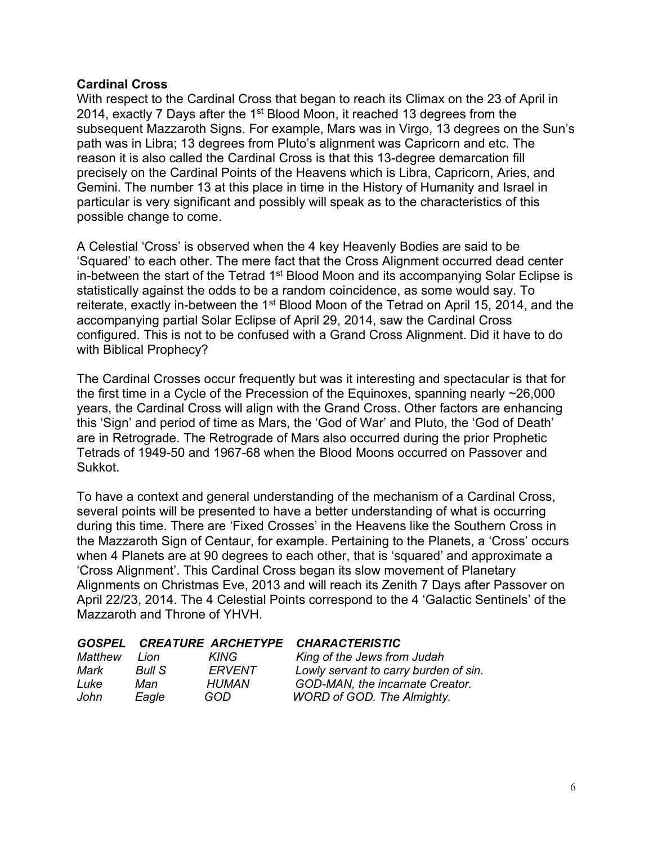# **Cardinal Cross**

With respect to the Cardinal Cross that began to reach its Climax on the 23 of April in 2014, exactly 7 Days after the  $1<sup>st</sup>$  Blood Moon, it reached 13 degrees from the subsequent Mazzaroth Signs. For example, Mars was in Virgo, 13 degrees on the Sun's path was in Libra; 13 degrees from Pluto's alignment was Capricorn and etc. The reason it is also called the Cardinal Cross is that this 13-degree demarcation fill precisely on the Cardinal Points of the Heavens which is Libra, Capricorn, Aries, and Gemini. The number 13 at this place in time in the History of Humanity and Israel in particular is very significant and possibly will speak as to the characteristics of this possible change to come.

A Celestial 'Cross' is observed when the 4 key Heavenly Bodies are said to be 'Squared' to each other. The mere fact that the Cross Alignment occurred dead center in-between the start of the Tetrad 1<sup>st</sup> Blood Moon and its accompanying Solar Eclipse is statistically against the odds to be a random coincidence, as some would say. To reiterate, exactly in-between the 1<sup>st</sup> Blood Moon of the Tetrad on April 15, 2014, and the accompanying partial Solar Eclipse of April 29, 2014, saw the Cardinal Cross configured. This is not to be confused with a Grand Cross Alignment. Did it have to do with Biblical Prophecy?

The Cardinal Crosses occur frequently but was it interesting and spectacular is that for the first time in a Cycle of the Precession of the Equinoxes, spanning nearly ~26,000 years, the Cardinal Cross will align with the Grand Cross. Other factors are enhancing this 'Sign' and period of time as Mars, the 'God of War' and Pluto, the 'God of Death' are in Retrograde. The Retrograde of Mars also occurred during the prior Prophetic Tetrads of 1949-50 and 1967-68 when the Blood Moons occurred on Passover and Sukkot.

To have a context and general understanding of the mechanism of a Cardinal Cross, several points will be presented to have a better understanding of what is occurring during this time. There are 'Fixed Crosses' in the Heavens like the Southern Cross in the Mazzaroth Sign of Centaur, for example. Pertaining to the Planets, a 'Cross' occurs when 4 Planets are at 90 degrees to each other, that is 'squared' and approximate a 'Cross Alignment'. This Cardinal Cross began its slow movement of Planetary Alignments on Christmas Eve, 2013 and will reach its Zenith 7 Days after Passover on April 22/23, 2014. The 4 Celestial Points correspond to the 4 'Galactic Sentinels' of the Mazzaroth and Throne of YHVH.

|         |        |        | GOSPEL CREATURE ARCHETYPE CHARACTERISTIC |
|---------|--------|--------|------------------------------------------|
| Matthew | I ion  | KING   | King of the Jews from Judah              |
| Mark    | Bull S | ERVENT | Lowly servant to carry burden of sin.    |
| Luke    | Man    | HUMAN  | GOD-MAN, the incarnate Creator.          |
| John    | Eagle  | GOD    | <b>WORD of GOD. The Almighty.</b>        |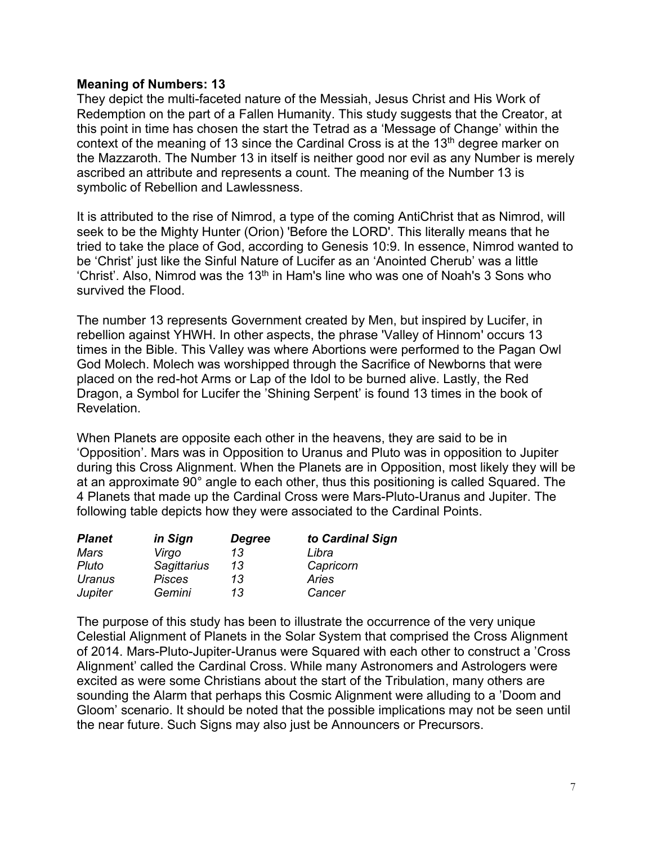### **Meaning of Numbers: 13**

They depict the multi-faceted nature of the Messiah, Jesus Christ and His Work of Redemption on the part of a Fallen Humanity. This study suggests that the Creator, at this point in time has chosen the start the Tetrad as a 'Message of Change' within the context of the meaning of 13 since the Cardinal Cross is at the 13<sup>th</sup> degree marker on the Mazzaroth. The Number 13 in itself is neither good nor evil as any Number is merely ascribed an attribute and represents a count. The meaning of the Number 13 is symbolic of Rebellion and Lawlessness.

It is attributed to the rise of Nimrod, a type of the coming AntiChrist that as Nimrod, will seek to be the Mighty Hunter (Orion) 'Before the LORD'. This literally means that he tried to take the place of God, according to Genesis 10:9. In essence, Nimrod wanted to be 'Christ' just like the Sinful Nature of Lucifer as an 'Anointed Cherub' was a little 'Christ'. Also, Nimrod was the 13<sup>th</sup> in Ham's line who was one of Noah's 3 Sons who survived the Flood.

The number 13 represents Government created by Men, but inspired by Lucifer, in rebellion against YHWH. In other aspects, the phrase 'Valley of Hinnom' occurs 13 times in the Bible. This Valley was where Abortions were performed to the Pagan Owl God Molech. Molech was worshipped through the Sacrifice of Newborns that were placed on the red-hot Arms or Lap of the Idol to be burned alive. Lastly, the Red Dragon, a Symbol for Lucifer the 'Shining Serpent' is found 13 times in the book of Revelation.

When Planets are opposite each other in the heavens, they are said to be in 'Opposition'. Mars was in Opposition to Uranus and Pluto was in opposition to Jupiter during this Cross Alignment. When the Planets are in Opposition, most likely they will be at an approximate 90° angle to each other, thus this positioning is called Squared. The 4 Planets that made up the Cardinal Cross were Mars-Pluto-Uranus and Jupiter. The following table depicts how they were associated to the Cardinal Points.

| <b>Planet</b> | in Sign            | <b>Degree</b> | to Cardinal Sign |
|---------------|--------------------|---------------|------------------|
| Mars          | Virgo              | 13            | Libra            |
| Pluto         | <b>Sagittarius</b> | 13            | Capricorn        |
| Uranus        | <b>Pisces</b>      | 13            | Aries            |
| Jupiter       | Gemini             | 13            | Cancer           |

The purpose of this study has been to illustrate the occurrence of the very unique Celestial Alignment of Planets in the Solar System that comprised the Cross Alignment of 2014. Mars-Pluto-Jupiter-Uranus were Squared with each other to construct a 'Cross Alignment' called the Cardinal Cross. While many Astronomers and Astrologers were excited as were some Christians about the start of the Tribulation, many others are sounding the Alarm that perhaps this Cosmic Alignment were alluding to a 'Doom and Gloom' scenario. It should be noted that the possible implications may not be seen until the near future. Such Signs may also just be Announcers or Precursors.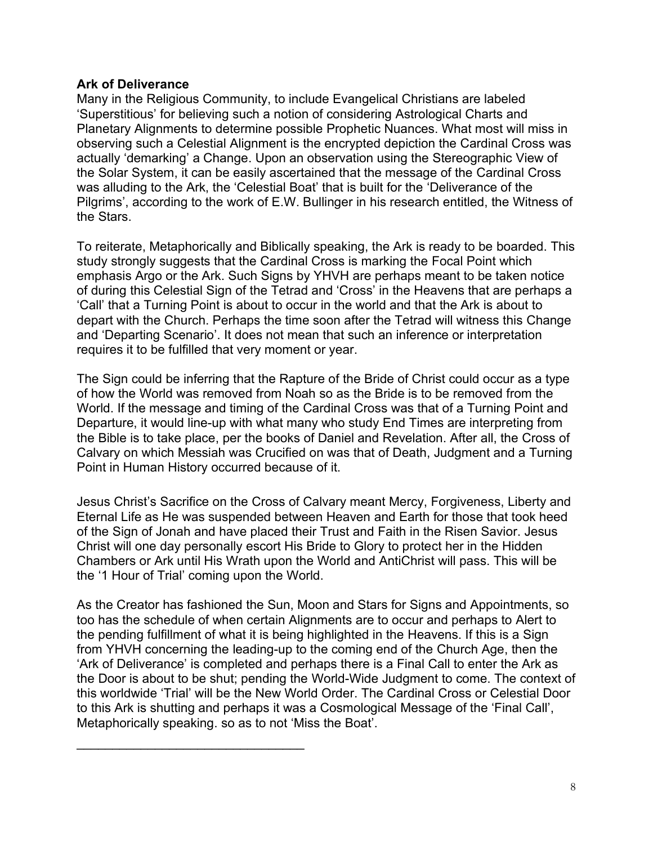# **Ark of Deliverance**

Many in the Religious Community, to include Evangelical Christians are labeled 'Superstitious' for believing such a notion of considering Astrological Charts and Planetary Alignments to determine possible Prophetic Nuances. What most will miss in observing such a Celestial Alignment is the encrypted depiction the Cardinal Cross was actually 'demarking' a Change. Upon an observation using the Stereographic View of the Solar System, it can be easily ascertained that the message of the Cardinal Cross was alluding to the Ark, the 'Celestial Boat' that is built for the 'Deliverance of the Pilgrims', according to the work of E.W. Bullinger in his research entitled, the Witness of the Stars.

To reiterate, Metaphorically and Biblically speaking, the Ark is ready to be boarded. This study strongly suggests that the Cardinal Cross is marking the Focal Point which emphasis Argo or the Ark. Such Signs by YHVH are perhaps meant to be taken notice of during this Celestial Sign of the Tetrad and 'Cross' in the Heavens that are perhaps a 'Call' that a Turning Point is about to occur in the world and that the Ark is about to depart with the Church. Perhaps the time soon after the Tetrad will witness this Change and 'Departing Scenario'. It does not mean that such an inference or interpretation requires it to be fulfilled that very moment or year.

The Sign could be inferring that the Rapture of the Bride of Christ could occur as a type of how the World was removed from Noah so as the Bride is to be removed from the World. If the message and timing of the Cardinal Cross was that of a Turning Point and Departure, it would line-up with what many who study End Times are interpreting from the Bible is to take place, per the books of Daniel and Revelation. After all, the Cross of Calvary on which Messiah was Crucified on was that of Death, Judgment and a Turning Point in Human History occurred because of it.

Jesus Christ's Sacrifice on the Cross of Calvary meant Mercy, Forgiveness, Liberty and Eternal Life as He was suspended between Heaven and Earth for those that took heed of the Sign of Jonah and have placed their Trust and Faith in the Risen Savior. Jesus Christ will one day personally escort His Bride to Glory to protect her in the Hidden Chambers or Ark until His Wrath upon the World and AntiChrist will pass. This will be the '1 Hour of Trial' coming upon the World.

As the Creator has fashioned the Sun, Moon and Stars for Signs and Appointments, so too has the schedule of when certain Alignments are to occur and perhaps to Alert to the pending fulfillment of what it is being highlighted in the Heavens. If this is a Sign from YHVH concerning the leading-up to the coming end of the Church Age, then the 'Ark of Deliverance' is completed and perhaps there is a Final Call to enter the Ark as the Door is about to be shut; pending the World-Wide Judgment to come. The context of this worldwide 'Trial' will be the New World Order. The Cardinal Cross or Celestial Door to this Ark is shutting and perhaps it was a Cosmological Message of the 'Final Call', Metaphorically speaking. so as to not 'Miss the Boat'.

\_\_\_\_\_\_\_\_\_\_\_\_\_\_\_\_\_\_\_\_\_\_\_\_\_\_\_\_\_\_\_\_